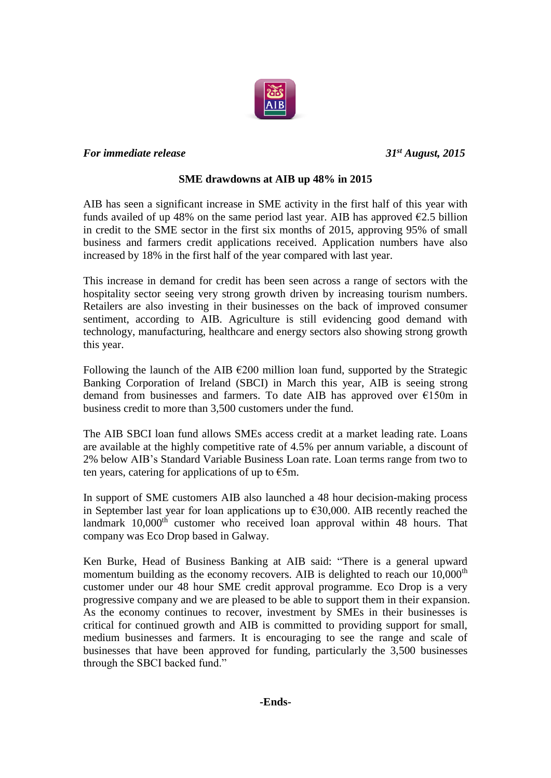

## *For immediate release 31st August, 2015*

## **SME drawdowns at AIB up 48% in 2015**

AIB has seen a significant increase in SME activity in the first half of this year with funds availed of up 48% on the same period last year. AIB has approved  $\epsilon$ 2.5 billion in credit to the SME sector in the first six months of 2015, approving 95% of small business and farmers credit applications received. Application numbers have also increased by 18% in the first half of the year compared with last year.

This increase in demand for credit has been seen across a range of sectors with the hospitality sector seeing very strong growth driven by increasing tourism numbers. Retailers are also investing in their businesses on the back of improved consumer sentiment, according to AIB. Agriculture is still evidencing good demand with technology, manufacturing, healthcare and energy sectors also showing strong growth this year.

Following the launch of the AIB  $\epsilon$ 200 million loan fund, supported by the Strategic Banking Corporation of Ireland (SBCI) in March this year, AIB is seeing strong demand from businesses and farmers. To date AIB has approved over €150m in business credit to more than 3,500 customers under the fund.

The AIB SBCI loan fund allows SMEs access credit at a market leading rate. Loans are available at the highly competitive rate of 4.5% per annum variable, a discount of 2% below AIB's Standard Variable Business Loan rate. Loan terms range from two to ten years, catering for applications of up to  $\epsilon$ 5m.

In support of SME customers AIB also launched a 48 hour decision-making process in September last year for loan applications up to  $\epsilon$ 30,000. AIB recently reached the landmark 10,000<sup>th</sup> customer who received loan approval within 48 hours. That company was Eco Drop based in Galway.

Ken Burke, Head of Business Banking at AIB said: "There is a general upward momentum building as the economy recovers. AIB is delighted to reach our  $10,000<sup>th</sup>$ customer under our 48 hour SME credit approval programme. Eco Drop is a very progressive company and we are pleased to be able to support them in their expansion. As the economy continues to recover, investment by SMEs in their businesses is critical for continued growth and AIB is committed to providing support for small, medium businesses and farmers. It is encouraging to see the range and scale of businesses that have been approved for funding, particularly the 3,500 businesses through the SBCI backed fund."